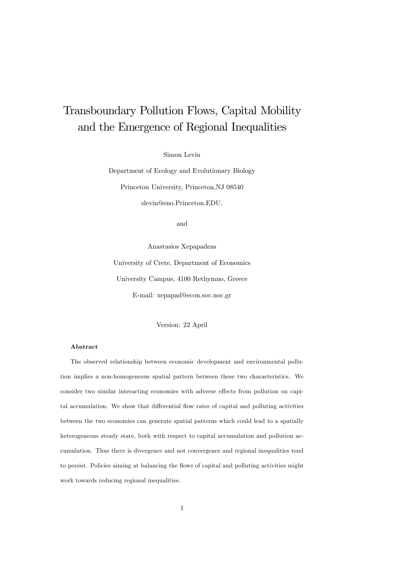# Transboundary Pollution Flows, Capital Mobility and the Emergence of Regional Inequalities

Simon Levin

Department of Ecology and Evolutionary Biology Princeton University, Princeton,NJ 08540 slevin@eno.Princeton.EDU.

and

Anastasios Xepapadeas University of Crete, Department of Economics University Campus, 4100 Rethymno, Greece E-mail: xepapad@econ.soc.uoc.gr

Version: 22 April

#### Abstract

The observed relationship between economic development and environmental pollution implies a non-homogeneous spatial pattern between these two characteristics. We consider two similar interacting economies with adverse effects from pollution on capital accumulation. We show that differential flow rates of capital and polluting activities between the two economies can generate spatial patterns which could lead to a spatially heterogeneous steady state, both with respect to capital accumulation and pollution accumulation. Thus there is divergence and not convergence and regional inequalities tend to persist. Policies aiming at balancing the flows of capital and polluting activities might work towards reducing regional inequalities.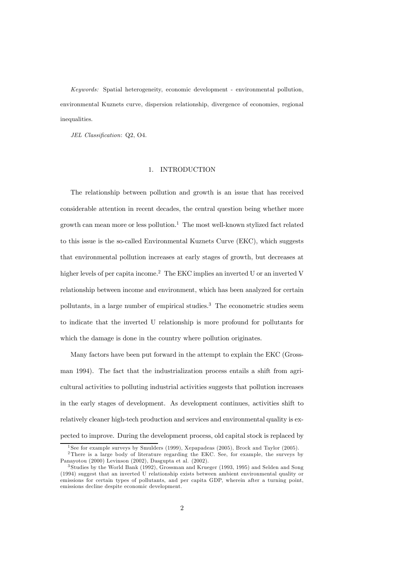Keywords: Spatial heterogeneity, economic development - environmental pollution, environmental Kuznets curve, dispersion relationship, divergence of economies, regional inequalities.

JEL Classification: Q2, O4.

#### 1. INTRODUCTION

The relationship between pollution and growth is an issue that has received considerable attention in recent decades, the central question being whether more growth can mean more or less pollution.<sup>1</sup> The most well-known stylized fact related to this issue is the so-called Environmental Kuznets Curve (EKC), which suggests that environmental pollution increases at early stages of growth, but decreases at higher levels of per capita income.<sup>2</sup> The EKC implies an inverted U or an inverted V relationship between income and environment, which has been analyzed for certain pollutants, in a large number of empirical studies.<sup>3</sup> The econometric studies seem to indicate that the inverted U relationship is more profound for pollutants for which the damage is done in the country where pollution originates.

Many factors have been put forward in the attempt to explain the EKC (Grossman 1994). The fact that the industrialization process entails a shift from agricultural activities to polluting industrial activities suggests that pollution increases in the early stages of development. As development continues, activities shift to relatively cleaner high-tech production and services and environmental quality is expected to improve. During the development process, old capital stock is replaced by

<sup>&</sup>lt;sup>1</sup> See for example surveys by Smulders (1999), Xepapadeas (2005), Brock and Taylor (2005).

<sup>2</sup>There is a large body of literature regarding the EKC. See, for example, the surveys by Panayotou (2000) Levinson (2002), Dasgupta et al. (2002).

<sup>3</sup> Studies by the World Bank (1992), Grossman and Krueger (1993, 1995) and Selden and Song (1994) suggest that an inverted U relationship exists between ambient environmental quality or emissions for certain types of pollutants, and per capita GDP, wherein after a turning point, emissions decline despite economic development.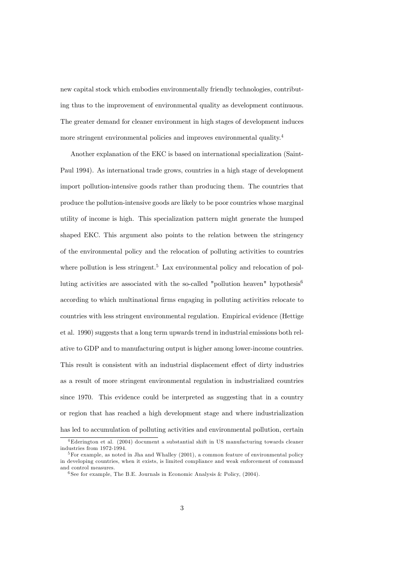new capital stock which embodies environmentally friendly technologies, contributing thus to the improvement of environmental quality as development continuous. The greater demand for cleaner environment in high stages of development induces more stringent environmental policies and improves environmental quality.<sup>4</sup>

Another explanation of the EKC is based on international specialization (Saint-Paul 1994). As international trade grows, countries in a high stage of development import pollution-intensive goods rather than producing them. The countries that produce the pollution-intensive goods are likely to be poor countries whose marginal utility of income is high. This specialization pattern might generate the humped shaped EKC. This argument also points to the relation between the stringency of the environmental policy and the relocation of polluting activities to countries where pollution is less stringent.<sup>5</sup> Lax environmental policy and relocation of polluting activities are associated with the so-called "pollution heaven" hypothesis<sup>6</sup> according to which multinational firms engaging in polluting activities relocate to countries with less stringent environmental regulation. Empirical evidence (Hettige et al. 1990) suggests that a long term upwards trend in industrial emissions both relative to GDP and to manufacturing output is higher among lower-income countries. This result is consistent with an industrial displacement effect of dirty industries as a result of more stringent environmental regulation in industrialized countries since 1970. This evidence could be interpreted as suggesting that in a country or region that has reached a high development stage and where industrialization has led to accumulation of polluting activities and environmental pollution, certain

<sup>4</sup>Ederington et al. (2004) document a substantial shift in US manufacturing towards cleaner industries from 1972-1994.

 $5$  For example, as noted in Jha and Whalley (2001), a common feature of environmental policy in developing countries, when it exists, is limited compliance and weak enforcement of command and control measures.

<sup>&</sup>lt;sup>6</sup> See for example, The B.E. Journals in Economic Analysis & Policy,  $(2004)$ .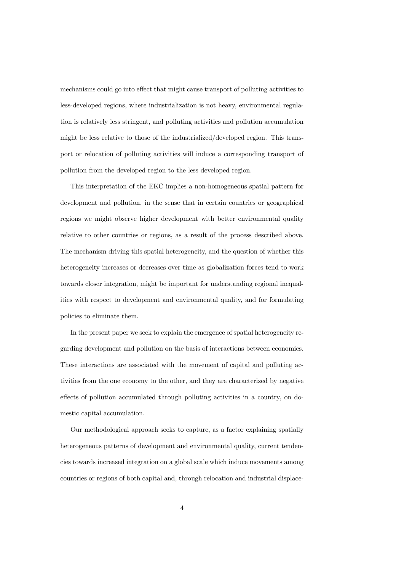mechanisms could go into effect that might cause transport of polluting activities to less-developed regions, where industrialization is not heavy, environmental regulation is relatively less stringent, and polluting activities and pollution accumulation might be less relative to those of the industrialized/developed region. This transport or relocation of polluting activities will induce a corresponding transport of pollution from the developed region to the less developed region.

This interpretation of the EKC implies a non-homogeneous spatial pattern for development and pollution, in the sense that in certain countries or geographical regions we might observe higher development with better environmental quality relative to other countries or regions, as a result of the process described above. The mechanism driving this spatial heterogeneity, and the question of whether this heterogeneity increases or decreases over time as globalization forces tend to work towards closer integration, might be important for understanding regional inequalities with respect to development and environmental quality, and for formulating policies to eliminate them.

In the present paper we seek to explain the emergence of spatial heterogeneity regarding development and pollution on the basis of interactions between economies. These interactions are associated with the movement of capital and polluting activities from the one economy to the other, and they are characterized by negative effects of pollution accumulated through polluting activities in a country, on domestic capital accumulation.

Our methodological approach seeks to capture, as a factor explaining spatially heterogeneous patterns of development and environmental quality, current tendencies towards increased integration on a global scale which induce movements among countries or regions of both capital and, through relocation and industrial displace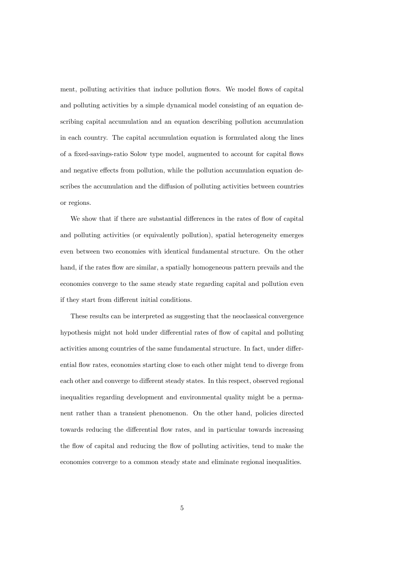ment, polluting activities that induce pollution flows. We model flows of capital and polluting activities by a simple dynamical model consisting of an equation describing capital accumulation and an equation describing pollution accumulation in each country. The capital accumulation equation is formulated along the lines of a fixed-savings-ratio Solow type model, augmented to account for capital flows and negative effects from pollution, while the pollution accumulation equation describes the accumulation and the diffusion of polluting activities between countries or regions.

We show that if there are substantial differences in the rates of flow of capital and polluting activities (or equivalently pollution), spatial heterogeneity emerges even between two economies with identical fundamental structure. On the other hand, if the rates flow are similar, a spatially homogeneous pattern prevails and the economies converge to the same steady state regarding capital and pollution even if they start from different initial conditions.

These results can be interpreted as suggesting that the neoclassical convergence hypothesis might not hold under differential rates of flow of capital and polluting activities among countries of the same fundamental structure. In fact, under differential flow rates, economies starting close to each other might tend to diverge from each other and converge to different steady states. In this respect, observed regional inequalities regarding development and environmental quality might be a permanent rather than a transient phenomenon. On the other hand, policies directed towards reducing the differential flow rates, and in particular towards increasing the flow of capital and reducing the flow of polluting activities, tend to make the economies converge to a common steady state and eliminate regional inequalities.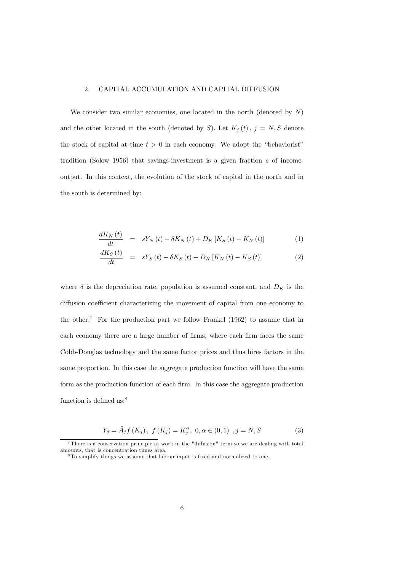#### 2. CAPITAL ACCUMULATION AND CAPITAL DIFFUSION

We consider two similar economies, one located in the north (denoted by  $N$ ) and the other located in the south (denoted by S). Let  $K_j(t)$ ,  $j = N, S$  denote the stock of capital at time  $t > 0$  in each economy. We adopt the "behaviorist" tradition (Solow 1956) that savings-investment is a given fraction s of incomeoutput. In this context, the evolution of the stock of capital in the north and in the south is determined by:

$$
\frac{dK_{N}(t)}{dt} = sY_{N}(t) - \delta K_{N}(t) + D_{K}\left[K_{S}(t) - K_{N}(t)\right]
$$
\n(1)

$$
\frac{dK_{S}\left(t\right)}{dt} = sY_{S}\left(t\right) - \delta K_{S}\left(t\right) + D_{K}\left[K_{N}\left(t\right) - K_{S}\left(t\right)\right]
$$
\n<sup>(2)</sup>

where  $\delta$  is the depreciation rate, population is assumed constant, and  $D_K$  is the diffusion coefficient characterizing the movement of capital from one economy to the other.<sup>7</sup> For the production part we follow Frankel  $(1962)$  to assume that in each economy there are a large number of firms, where each firm faces the same Cobb-Douglas technology and the same factor prices and thus hires factors in the same proportion. In this case the aggregate production function will have the same form as the production function of each firm. In this case the aggregate production function is defined as:<sup>8</sup>

$$
Y_j = \bar{A}_j f(K_j), \ f(K_j) = K_j^{\alpha}, \ 0, \alpha \in (0,1), \ j = N, S \tag{3}
$$

<sup>7</sup>There is a conservation principle at work in the "diffusion" term so we are dealing with total amounts, that is concentration times area.

<sup>8</sup>To simplify things we assume that labour input is fixed and normalized to one.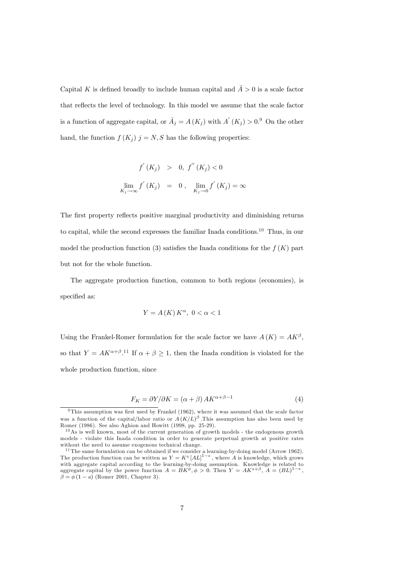Capital K is defined broadly to include human capital and  $\overline{A} > 0$  is a scale factor that reflects the level of technology. In this model we assume that the scale factor is a function of aggregate capital, or  $\overline{A}_j = A(K_j)$  with  $A'(K_j) > 0$ . On the other hand, the function  $f(K_i)$   $j = N, S$  has the following properties:

$$
f'(K_j) > 0, f''(K_j) < 0
$$
  

$$
\lim_{K_j \to \infty} f'(K_j) = 0, \lim_{K_j \to 0} f'(K_j) = \infty
$$

The first property reflects positive marginal productivity and diminishing returns to capital, while the second expresses the familiar Inada conditions.10 Thus, in our model the production function (3) satisfies the Inada conditions for the  $f(K)$  part but not for the whole function.

The aggregate production function, common to both regions (economies), is specified as:

$$
Y = A(K) K^{\alpha}, \ 0 < \alpha < 1
$$

Using the Frankel-Romer formulation for the scale factor we have  $A(K) = AK^{\beta}$ , so that  $Y = AK^{\alpha+\beta}$ <sup>11</sup> If  $\alpha+\beta \geq 1$ , then the Inada condition is violated for the whole production function, since

$$
F_K = \frac{\partial Y}{\partial K} = (\alpha + \beta) A K^{\alpha + \beta - 1}
$$
\n<sup>(4)</sup>

 $9$ This assumption was first used by Frankel (1962), where it was assumed that the scale factor was a function of the capital/labor ratio or  $A(K/L)^{\beta}$ . This assumption has also been used by Romer (1986). See also Aghion and Howitt (1998, pp. 25-29).

 $10$ As is well known, most of the current generation of growth models - the endogenous growth models - violate this Inada condition in order to generate perpetual growth at positive rates without the need to assume exogenous technical change.

<sup>&</sup>lt;sup>11</sup> The same formulation can be obtained if we consider a learning-by-doing model (Arrow 1962). The production function can be written as  $Y = K^a [AL]^{1-a}$ , where A is knowledge, which grows with aggregate capital according to the learning-by-doing assumption. Knowledge is related to aggregate capital by the power function  $A = BK^{\phi}, \phi > 0$ . Then  $Y = AK^{a+\beta}, A = (BL)^{1-a}$ ,  $\beta = \phi(1 - a)$  (Romer 2001, Chapter 3).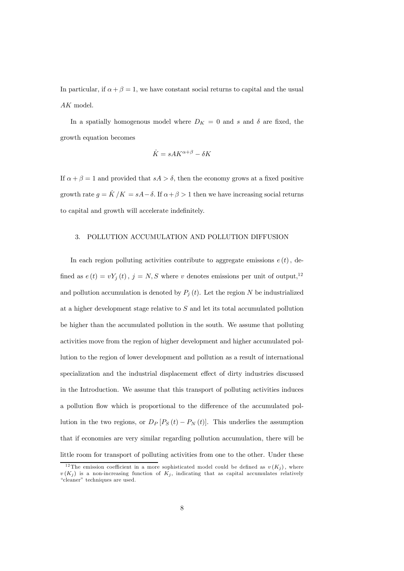In particular, if  $\alpha + \beta = 1$ , we have constant social returns to capital and the usual AK model.

In a spatially homogenous model where  $D_K = 0$  and s and  $\delta$  are fixed, the growth equation becomes

$$
\dot{K} = sA K^{\alpha + \beta} - \delta K
$$

If  $\alpha + \beta = 1$  and provided that  $sA > \delta$ , then the economy grows at a fixed positive growth rate  $g = \dot{K}/K = sA - \delta$ . If  $\alpha + \beta > 1$  then we have increasing social returns to capital and growth will accelerate indefinitely.

#### 3. POLLUTION ACCUMULATION AND POLLUTION DIFFUSION

In each region polluting activities contribute to aggregate emissions  $e(t)$ , defined as  $e(t) = vY_j(t)$ ,  $j = N, S$  where v denotes emissions per unit of output,<sup>12</sup> and pollution accumulation is denoted by  $P_j(t)$ . Let the region N be industrialized at a higher development stage relative to S and let its total accumulated pollution be higher than the accumulated pollution in the south. We assume that polluting activities move from the region of higher development and higher accumulated pollution to the region of lower development and pollution as a result of international specialization and the industrial displacement effect of dirty industries discussed in the Introduction. We assume that this transport of polluting activities induces a pollution flow which is proportional to the difference of the accumulated pollution in the two regions, or  $D_P[P_S(t) - P_N(t)]$ . This underlies the assumption that if economies are very similar regarding pollution accumulation, there will be little room for transport of polluting activities from one to the other. Under these

<sup>&</sup>lt;sup>12</sup>The emission coefficient in a more sophisticated model could be defined as  $v(K_j)$ , where  $v(K_i)$  is a non-increasing function of  $K_i$ , indicating that as capital accumulates relatively "cleaner" techniques are used.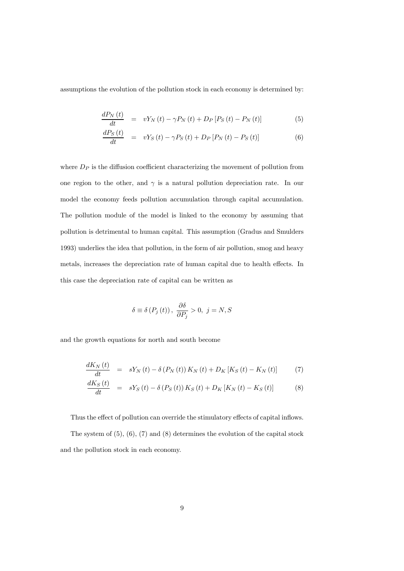assumptions the evolution of the pollution stock in each economy is determined by:

$$
\frac{dP_N(t)}{dt} = vY_N(t) - \gamma P_N(t) + D_P[P_S(t) - P_N(t)] \tag{5}
$$

$$
\frac{dP_S(t)}{dt} = vY_S(t) - \gamma P_S(t) + D_P [P_N(t) - P_S(t)] \tag{6}
$$

where  $D_P$  is the diffusion coefficient characterizing the movement of pollution from one region to the other, and  $\gamma$  is a natural pollution depreciation rate. In our model the economy feeds pollution accumulation through capital accumulation. The pollution module of the model is linked to the economy by assuming that pollution is detrimental to human capital. This assumption (Gradus and Smulders 1993) underlies the idea that pollution, in the form of air pollution, smog and heavy metals, increases the depreciation rate of human capital due to health effects. In this case the depreciation rate of capital can be written as

$$
\delta \equiv \delta(P_j(t)), \frac{\partial \delta}{\partial P_j} > 0, j = N, S
$$

and the growth equations for north and south become

$$
\frac{dK_{N}(t)}{dt} = sY_{N}(t) - \delta(P_{N}(t))K_{N}(t) + D_{K}[K_{S}(t) - K_{N}(t)] \tag{7}
$$

$$
\frac{dK_S\left(t\right)}{dt} = sY_S\left(t\right) - \delta\left(P_S\left(t\right)\right)K_S\left(t\right) + D_K\left[K_N\left(t\right) - K_S\left(t\right)\right] \tag{8}
$$

Thus the effect of pollution can override the stimulatory effects of capital inflows.

The system of  $(5)$ ,  $(6)$ ,  $(7)$  and  $(8)$  determines the evolution of the capital stock and the pollution stock in each economy.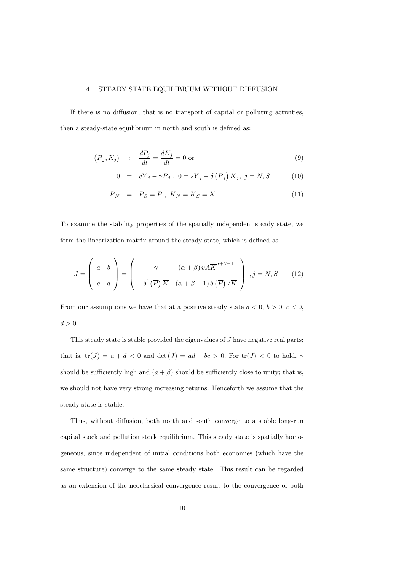#### 4. STEADY STATE EQUILIBRIUM WITHOUT DIFFUSION

If there is no diffusion, that is no transport of capital or polluting activities, then a steady-state equilibrium in north and south is defined as:

$$
\left(\overline{P}_j, \overline{K_j}\right) : \frac{dP_j}{dt} = \frac{dK_j}{dt} = 0 \text{ or } (9)
$$

$$
0 = v\overline{Y}_j - \gamma \overline{P}_j, \quad 0 = s\overline{Y}_j - \delta(\overline{P}_j)\overline{K}_j, \quad j = N, S \tag{10}
$$

$$
\overline{P}_N = \overline{P}_S = \overline{P}, \overline{K}_N = \overline{K}_S = \overline{K}
$$
\n(11)

To examine the stability properties of the spatially independent steady state, we form the linearization matrix around the steady state, which is defined as

$$
J = \begin{pmatrix} a & b \\ c & d \end{pmatrix} = \begin{pmatrix} -\gamma & (\alpha + \beta) \, v \, A \overline{K}^{a+\beta-1} \\ -\delta' \, (\overline{P}) \, \overline{K} & (\alpha + \beta - 1) \, \delta \, (\overline{P}) \, / \overline{K} \end{pmatrix} , j = N, S \qquad (12)
$$

From our assumptions we have that at a positive steady state  $a < 0, b > 0, c < 0$ ,  $d > 0$ .

This steady state is stable provided the eigenvalues of J have negative real parts; that is,  $tr(J) = a + d < 0$  and  $det(J) = ad - bc > 0$ . For  $tr(J) < 0$  to hold,  $\gamma$ should be sufficiently high and  $(a + \beta)$  should be sufficiently close to unity; that is, we should not have very strong increasing returns. Henceforth we assume that the steady state is stable.

Thus, without diffusion, both north and south converge to a stable long-run capital stock and pollution stock equilibrium. This steady state is spatially homogeneous, since independent of initial conditions both economies (which have the same structure) converge to the same steady state. This result can be regarded as an extension of the neoclassical convergence result to the convergence of both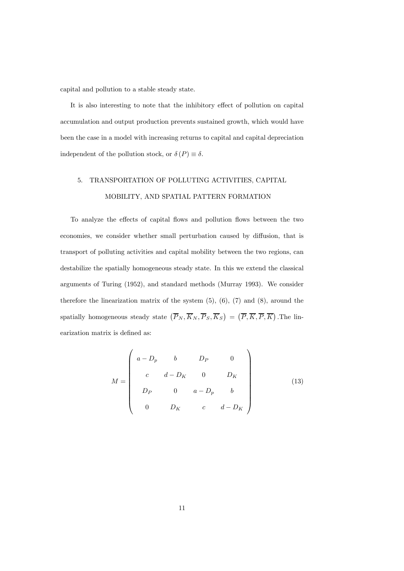capital and pollution to a stable steady state.

It is also interesting to note that the inhibitory effect of pollution on capital accumulation and output production prevents sustained growth, which would have been the case in a model with increasing returns to capital and capital depreciation independent of the pollution stock, or  $\delta(P) \equiv \delta$ .

# 5. TRANSPORTATION OF POLLUTING ACTIVITIES, CAPITAL MOBILITY, AND SPATIAL PATTERN FORMATION

To analyze the effects of capital flows and pollution flows between the two economies, we consider whether small perturbation caused by diffusion, that is transport of polluting activities and capital mobility between the two regions, can destabilize the spatially homogeneous steady state. In this we extend the classical arguments of Turing (1952), and standard methods (Murray 1993). We consider therefore the linearization matrix of the system  $(5)$ ,  $(6)$ ,  $(7)$  and  $(8)$ , around the spatially homogeneous steady state  $(\overline{P}_N, \overline{K}_N, \overline{P}_S, \overline{K}_S) = (\overline{P}, \overline{K}, \overline{P}, \overline{K})$ . The linearization matrix is defined as:

$$
M = \begin{pmatrix} a - D_p & b & D_P & 0 \\ c & d - D_K & 0 & D_K \\ D_P & 0 & a - D_p & b \\ 0 & D_K & c & d - D_K \end{pmatrix}
$$
 (13)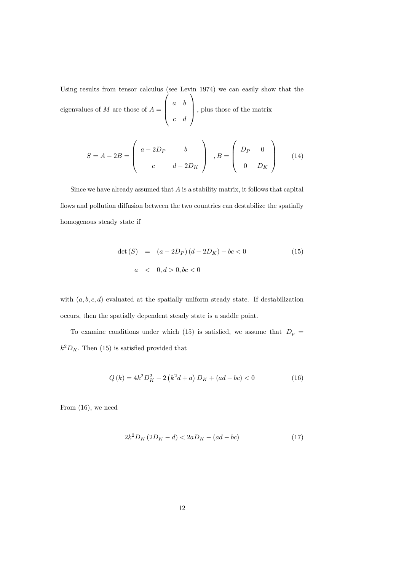Using results from tensor calculus (see Levin 1974) we can easily show that the eigenvalues of  $M$  are those of  $A =$  $\lambda$  $\begin{bmatrix} a & b \\ & & \\ & & \\ & & & \\ & & & \\ & & & & \\ & & & & \\ & & & & \\ & & & & & \\ \end{bmatrix}$ c d  $\setminus$ , plus those of the matrix

$$
S = A - 2B = \begin{pmatrix} a - 2D_P & b \\ c & d - 2D_K \end{pmatrix}, B = \begin{pmatrix} D_P & 0 \\ 0 & D_K \end{pmatrix}
$$
 (14)

Since we have already assumed that  $A$  is a stability matrix, it follows that capital flows and pollution diffusion between the two countries can destabilize the spatially homogenous steady state if

$$
\det(S) = (a - 2D_P)(d - 2D_K) - bc < 0 \tag{15}
$$
\n
$$
a < 0, d > 0, bc < 0
$$

with  $(a, b, c, d)$  evaluated at the spatially uniform steady state. If destabilization occurs, then the spatially dependent steady state is a saddle point.

To examine conditions under which (15) is satisfied, we assume that  $D_p =$  $k^2D_K.$  Then (15) is satisfied provided that

$$
Q(k) = 4k^2 D_K^2 - 2(k^2 d + a) D_K + (ad - bc) < 0
$$
\n(16)

From (16), we need

$$
2k^2 D_K (2D_K - d) < 2aD_K - (ad - bc) \tag{17}
$$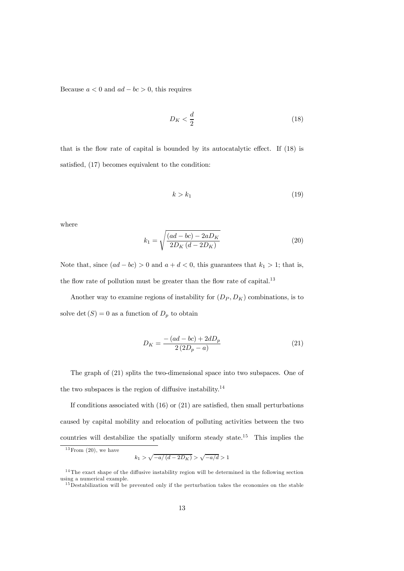Because  $a < 0$  and  $ad - bc > 0$ , this requires

$$
D_K < \frac{d}{2} \tag{18}
$$

that is the flow rate of capital is bounded by its autocatalytic effect. If (18) is satisfied, (17) becomes equivalent to the condition:

$$
k > k_1 \tag{19}
$$

where

$$
k_1 = \sqrt{\frac{(ad - bc) - 2aD_K}{2D_K(d - 2D_K)}}
$$
\n(20)

Note that, since  $(ad - bc) > 0$  and  $a + d < 0$ , this guarantees that  $k_1 > 1$ ; that is, the flow rate of pollution must be greater than the flow rate of capital.<sup>13</sup>

Another way to examine regions of instability for  $(D_P, D_K)$  combinations, is to solve det  $(S)=0$  as a function of  $D_p$  to obtain

$$
D_K = \frac{-\left(ad - bc\right) + 2dD_p}{2\left(2D_p - a\right)}\tag{21}
$$

The graph of (21) splits the two-dimensional space into two subspaces. One of the two subspaces is the region of diffusive instability.<sup>14</sup>

If conditions associated with  $(16)$  or  $(21)$  are satisfied, then small perturbations caused by capital mobility and relocation of polluting activities between the two countries will destabilize the spatially uniform steady state.<sup>15</sup> This implies the

 $13$  From  $(20)$ , we have

 $k_1 > \sqrt{-a/(d-2D_K)} > \sqrt{-a/d} > 1$ 

 $14$ The exact shape of the diffusive instability region will be determined in the following section using a numerical example.

 $15$ Destabilization will be prevented only if the perturbation takes the economies on the stable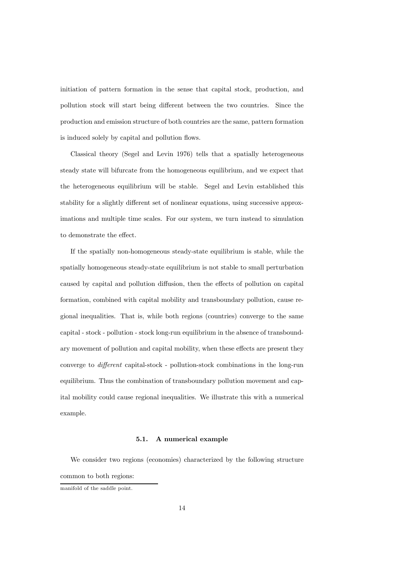initiation of pattern formation in the sense that capital stock, production, and pollution stock will start being different between the two countries. Since the production and emission structure of both countries are the same, pattern formation is induced solely by capital and pollution flows.

Classical theory (Segel and Levin 1976) tells that a spatially heterogeneous steady state will bifurcate from the homogeneous equilibrium, and we expect that the heterogeneous equilibrium will be stable. Segel and Levin established this stability for a slightly different set of nonlinear equations, using successive approximations and multiple time scales. For our system, we turn instead to simulation to demonstrate the effect.

If the spatially non-homogeneous steady-state equilibrium is stable, while the spatially homogeneous steady-state equilibrium is not stable to small perturbation caused by capital and pollution diffusion, then the effects of pollution on capital formation, combined with capital mobility and transboundary pollution, cause regional inequalities. That is, while both regions (countries) converge to the same capital - stock - pollution - stock long-run equilibrium in the absence of transboundary movement of pollution and capital mobility, when these effects are present they converge to different capital-stock - pollution-stock combinations in the long-run equilibrium. Thus the combination of transboundary pollution movement and capital mobility could cause regional inequalities. We illustrate this with a numerical example.

#### 5.1. A numerical example

We consider two regions (economies) characterized by the following structure common to both regions:

manifold of the saddle point.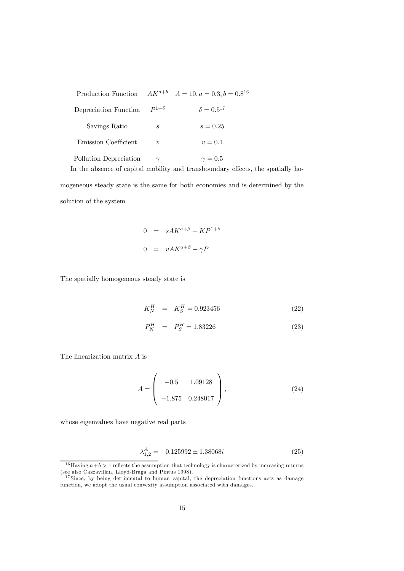|                        |                  | Production Function $AK^{a+b}$ $A = 10, a = 0.3, b = 0.8^{16}$                  |  |
|------------------------|------------------|---------------------------------------------------------------------------------|--|
| Depreciation Function  | $P^{1+\delta}$   | $\delta = 0.5^{17}$                                                             |  |
| Savings Ratio          | $\boldsymbol{s}$ | $s = 0.25$                                                                      |  |
| Emission Coefficient   | $\boldsymbol{v}$ | $v = 0.1$                                                                       |  |
| Pollution Depreciation | $\gamma$         | $\gamma = 0.5$                                                                  |  |
|                        |                  | In the absence of capital mobility and transboundary effects, the spatially ho- |  |

mogeneous steady state is the same for both economies and is determined by the solution of the system

$$
0 = s A K^{a+\beta} - K P^{1+\delta}
$$

$$
0 = v A K^{a+\beta} - \gamma P
$$

The spatially homogeneous steady state is

$$
K_N^H = K_S^H = 0.923456 \tag{22}
$$

$$
P_N^H = P_S^H = 1.83226 \tag{23}
$$

The linearization matrix A is

$$
A = \begin{pmatrix} -0.5 & 1.09128 \\ -1.875 & 0.248017 \end{pmatrix},
$$
 (24)

whose eigenvalues have negative real parts

$$
\lambda_{1,2}^A = -0.125992 \pm 1.38068i \tag{25}
$$

 $16$ Having  $a+b > 1$  reflects the assumption that technology is characterized by increasing returns (see also Cazzavillan, Lloyd-Braga and Pintus 1998).

 $17$  Since, by being detrimental to human capital, the depreciation functions acts as damage function, we adopt the usual convexity assumption associated with damages.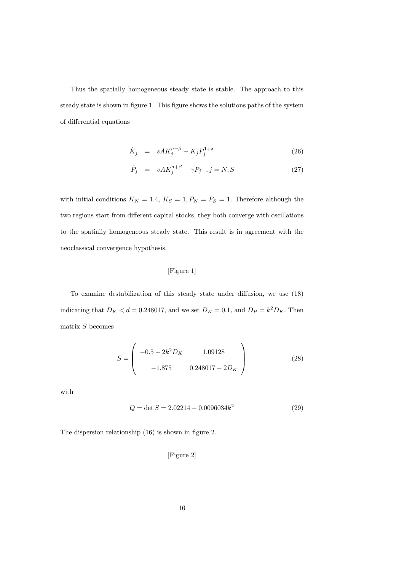Thus the spatially homogeneous steady state is stable. The approach to this steady state is shown in figure 1. This figure shows the solutions paths of the system of differential equations

$$
\dot{K}_j = s A K_j^{a+\beta} - K_j P_j^{1+\delta} \tag{26}
$$

$$
\dot{P}_j = vA K_j^{a+\beta} - \gamma P_j, \quad j = N, S \tag{27}
$$

with initial conditions  $K_N = 1.4$ ,  $K_S = 1$ ,  $P_N = P_S = 1$ . Therefore although the two regions start from different capital stocks, they both converge with oscillations to the spatially homogeneous steady state. This result is in agreement with the neoclassical convergence hypothesis.

# [Figure 1]

To examine destabilization of this steady state under diffusion, we use (18) indicating that  $D_K < d = 0.248017$ , and we set  $D_K = 0.1$ , and  $D_P = k^2 D_K$ . Then matrix  $S$  becomes

$$
S = \begin{pmatrix} -0.5 - 2k^2 D_K & 1.09128 \\ -1.875 & 0.248017 - 2D_K \end{pmatrix}
$$
 (28)

with

$$
Q = \det S = 2.02214 - 0.0096034k^2 \tag{29}
$$

The dispersion relationship (16) is shown in figure 2.

## [Figure 2]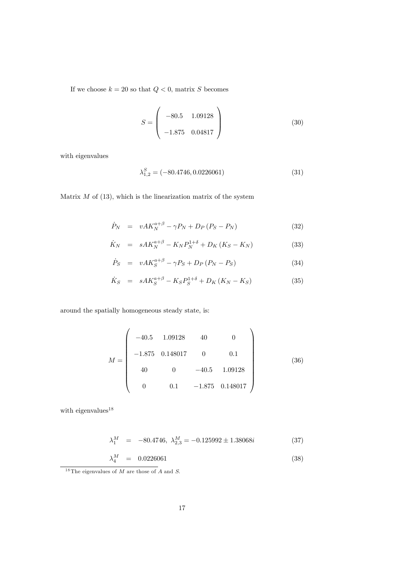If we choose  $k = 20$  so that  $Q < 0$ , matrix S becomes

$$
S = \left(\begin{array}{cc} -80.5 & 1.09128 \\ -1.875 & 0.04817 \end{array}\right) \tag{30}
$$

with eigenvalues

$$
\lambda_{1,2}^{S} = (-80.4746, 0.0226061) \tag{31}
$$

Matrix  $M$  of  $(13)$ , which is the linearization matrix of the system

$$
\dot{P}_N = vA K_N^{a+\beta} - \gamma P_N + D_P (P_S - P_N) \tag{32}
$$

$$
\dot{K}_N = s A K_N^{a+\beta} - K_N P_N^{1+\delta} + D_K (K_S - K_N) \tag{33}
$$

$$
\dot{P}_S = vA K_S^{a+\beta} - \gamma P_S + D_P (P_N - P_S) \tag{34}
$$

$$
\dot{K}_S = s A K_S^{a+\beta} - K_S P_S^{1+\delta} + D_K (K_N - K_S) \tag{35}
$$

around the spatially homogeneous steady state, is:

$$
M = \begin{pmatrix} -40.5 & 1.09128 & 40 & 0 \\ -1.875 & 0.148017 & 0 & 0.1 \\ 40 & 0 & -40.5 & 1.09128 \\ 0 & 0.1 & -1.875 & 0.148017 \end{pmatrix}
$$
(36)

with eigenvalues<sup>18</sup>

$$
\lambda_1^M = -80.4746, \ \lambda_{2,3}^M = -0.125992 \pm 1.38068i \tag{37}
$$

$$
\lambda_4^M = 0.0226061 \tag{38}
$$

 $\overline{\phantom{a}}$  18The eigenvalues of M are those of A and S.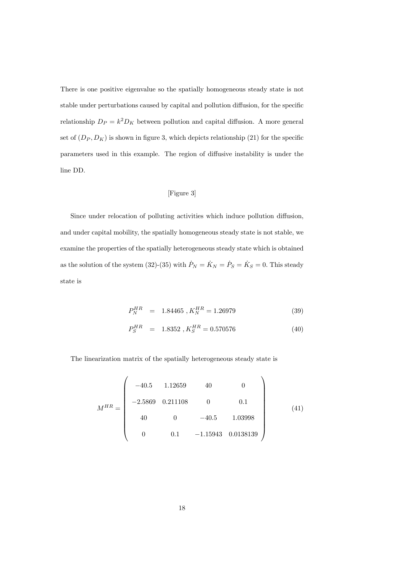There is one positive eigenvalue so the spatially homogeneous steady state is not stable under perturbations caused by capital and pollution diffusion, for the specific relationship  $D_P = k^2 D_K$  between pollution and capital diffusion. A more general set of  $(D_P, D_K)$  is shown in figure 3, which depicts relationship (21) for the specific parameters used in this example. The region of diffusive instability is under the line DD.

### [Figure 3]

Since under relocation of polluting activities which induce pollution diffusion, and under capital mobility, the spatially homogeneous steady state is not stable, we examine the properties of the spatially heterogeneous steady state which is obtained as the solution of the system (32)-(35) with  $\dot{P}_N = \dot{K}_N = \dot{P}_S = \dot{K}_S = 0$ . This steady state is

$$
P_N^{HR} = 1.84465, K_N^{HR} = 1.26979 \tag{39}
$$

$$
P_S^{HR} = 1.8352, K_S^{HR} = 0.570576 \tag{40}
$$

The linearization matrix of the spatially heterogeneous steady state is

$$
M^{HR} = \begin{pmatrix} -40.5 & 1.12659 & 40 & 0 \\ -2.5869 & 0.211108 & 0 & 0.1 \\ 40 & 0 & -40.5 & 1.03998 \\ 0 & 0.1 & -1.15943 & 0.0138139 \end{pmatrix}
$$
(41)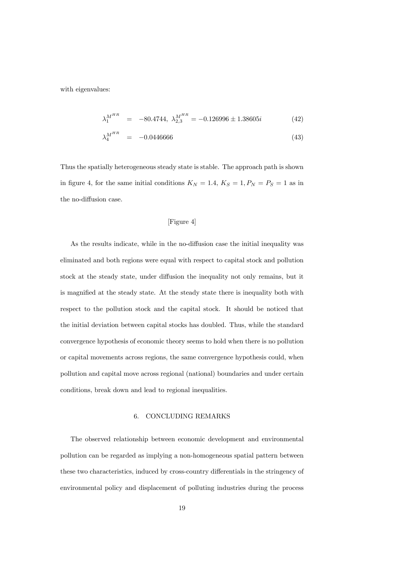with eigenvalues:

$$
\lambda_1^{M^{HR}} = -80.4744, \ \lambda_{2,3}^{M^{HR}} = -0.126996 \pm 1.38605i \tag{42}
$$

$$
\lambda_4^{M^{HR}} = -0.0446666 \tag{43}
$$

Thus the spatially heterogeneous steady state is stable. The approach path is shown in figure 4, for the same initial conditions  $K_N = 1.4$ ,  $K_S = 1$ ,  $P_N = P_S = 1$  as in the no-diffusion case.

# [Figure 4]

As the results indicate, while in the no-diffusion case the initial inequality was eliminated and both regions were equal with respect to capital stock and pollution stock at the steady state, under diffusion the inequality not only remains, but it is magnified at the steady state. At the steady state there is inequality both with respect to the pollution stock and the capital stock. It should be noticed that the initial deviation between capital stocks has doubled. Thus, while the standard convergence hypothesis of economic theory seems to hold when there is no pollution or capital movements across regions, the same convergence hypothesis could, when pollution and capital move across regional (national) boundaries and under certain conditions, break down and lead to regional inequalities.

#### 6. CONCLUDING REMARKS

The observed relationship between economic development and environmental pollution can be regarded as implying a non-homogeneous spatial pattern between these two characteristics, induced by cross-country differentials in the stringency of environmental policy and displacement of polluting industries during the process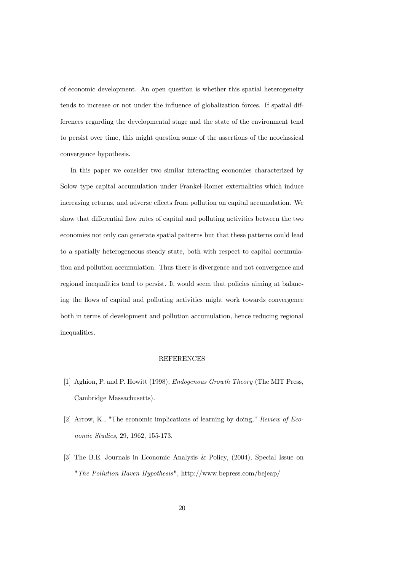of economic development. An open question is whether this spatial heterogeneity tends to increase or not under the influence of globalization forces. If spatial differences regarding the developmental stage and the state of the environment tend to persist over time, this might question some of the assertions of the neoclassical convergence hypothesis.

In this paper we consider two similar interacting economies characterized by Solow type capital accumulation under Frankel-Romer externalities which induce increasing returns, and adverse effects from pollution on capital accumulation. We show that differential flow rates of capital and polluting activities between the two economies not only can generate spatial patterns but that these patterns could lead to a spatially heterogeneous steady state, both with respect to capital accumulation and pollution accumulation. Thus there is divergence and not convergence and regional inequalities tend to persist. It would seem that policies aiming at balancing the flows of capital and polluting activities might work towards convergence both in terms of development and pollution accumulation, hence reducing regional inequalities.

#### REFERENCES

- [1] Aghion, P. and P. Howitt (1998), Endogenous Growth Theory (The MIT Press, Cambridge Massachusetts).
- [2] Arrow, K., "The economic implications of learning by doing," Review of Economic Studies, 29, 1962, 155-173.
- [3] The B.E. Journals in Economic Analysis & Policy, (2004), Special Issue on "The Pollution Haven Hypothesis", http://www.bepress.com/bejeap/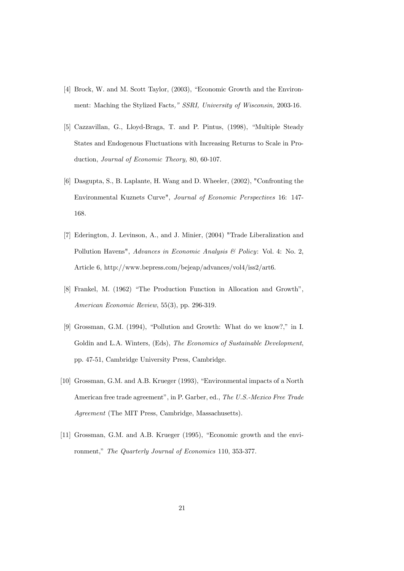- [4] Brock, W. and M. Scott Taylor, (2003), "Economic Growth and the Environment: Maching the Stylized Facts," SSRI, University of Wisconsin, 2003-16.
- [5] Cazzavillan, G., Lloyd-Braga, T. and P. Pintus, (1998), "Multiple Steady States and Endogenous Fluctuations with Increasing Returns to Scale in Production, Journal of Economic Theory, 80, 60-107.
- [6] Dasgupta, S., B. Laplante, H. Wang and D. Wheeler, (2002), "Confronting the Environmental Kuznets Curve", Journal of Economic Perspectives 16: 147- 168.
- [7] Ederington, J. Levinson, A., and J. Minier, (2004) "Trade Liberalization and Pollution Havens", Advances in Economic Analysis & Policy: Vol. 4: No. 2, Article 6, http://www.bepress.com/bejeap/advances/vol4/iss2/art6.
- [8] Frankel, M. (1962) "The Production Function in Allocation and Growth", American Economic Review, 55(3), pp. 296-319.
- [9] Grossman, G.M. (1994), "Pollution and Growth: What do we know?," in I. Goldin and L.A. Winters, (Eds), The Economics of Sustainable Development, pp. 47-51, Cambridge University Press, Cambridge.
- [10] Grossman, G.M. and A.B. Krueger (1993), "Environmental impacts of a North American free trade agreement", in P. Garber, ed., The U.S.-Mexico Free Trade Agreement (The MIT Press, Cambridge, Massachusetts).
- [11] Grossman, G.M. and A.B. Krueger (1995), "Economic growth and the environment," The Quarterly Journal of Economics 110, 353-377.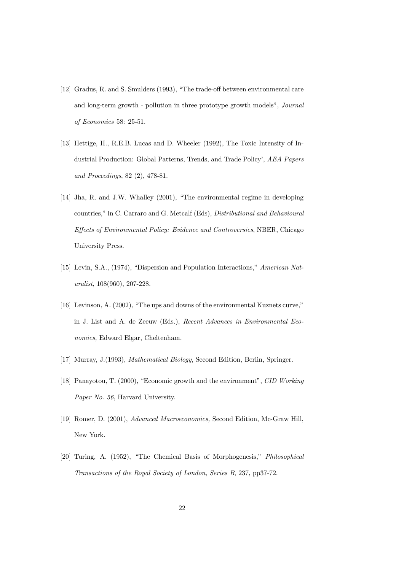- [12] Gradus, R. and S. Smulders (1993), "The trade-off between environmental care and long-term growth - pollution in three prototype growth models", Journal of Economics 58: 25-51.
- [13] Hettige, H., R.E.B. Lucas and D. Wheeler (1992), The Toxic Intensity of Industrial Production: Global Patterns, Trends, and Trade Policy', AEA Papers and Proceedings, 82 (2), 478-81.
- [14] Jha, R. and J.W. Whalley (2001), "The environmental regime in developing countries," in C. Carraro and G. Metcalf (Eds), Distributional and Behavioural Effects of Environmental Policy: Evidence and Controversies, NBER, Chicago University Press.
- [15] Levin, S.A., (1974), "Dispersion and Population Interactions," American Naturalist, 108(960), 207-228.
- [16] Levinson, A. (2002), "The ups and downs of the environmental Kuznets curve," in J. List and A. de Zeeuw (Eds.), Recent Advances in Environmental Economics, Edward Elgar, Cheltenham.
- [17] Murray, J.(1993), Mathematical Biology, Second Edition, Berlin, Springer.
- [18] Panayotou, T. (2000), "Economic growth and the environment", CID Working Paper No. 56, Harvard University.
- [19] Romer, D. (2001), Advanced Macroeconomics, Second Edition, Mc-Graw Hill, New York.
- [20] Turing, A. (1952), "The Chemical Basis of Morphogenesis," Philosophical Transactions of the Royal Society of London, Series B, 237, pp37-72.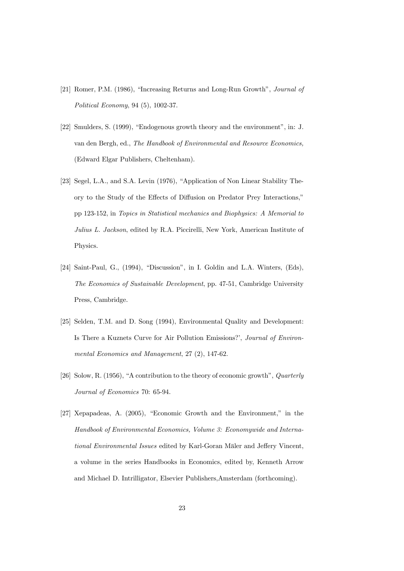- [21] Romer, P.M. (1986), "Increasing Returns and Long-Run Growth", Journal of Political Economy, 94 (5), 1002-37.
- [22] Smulders, S. (1999), "Endogenous growth theory and the environment", in: J. van den Bergh, ed., The Handbook of Environmental and Resource Economics, (Edward Elgar Publishers, Cheltenham).
- [23] Segel, L.A., and S.A. Levin (1976), "Application of Non Linear Stability Theory to the Study of the Effects of Diffusion on Predator Prey Interactions," pp 123-152, in Topics in Statistical mechanics and Biophysics: A Memorial to Julius L. Jackson, edited by R.A. Piccirelli, New York, American Institute of Physics.
- [24] Saint-Paul, G., (1994), "Discussion", in I. Goldin and L.A. Winters, (Eds), The Economics of Sustainable Development, pp. 47-51, Cambridge University Press, Cambridge.
- [25] Selden, T.M. and D. Song (1994), Environmental Quality and Development: Is There a Kuznets Curve for Air Pollution Emissions?', Journal of Environmental Economics and Management, 27 (2), 147-62.
- [26] Solow, R. (1956), "A contribution to the theory of economic growth", Quarterly Journal of Economics 70: 65-94.
- [27] Xepapadeas, A. (2005), "Economic Growth and the Environment," in the Handbook of Environmental Economics, Volume 3: Economywide and International Environmental Issues edited by Karl-Goran Mäler and Jeffery Vincent, a volume in the series Handbooks in Economics, edited by, Kenneth Arrow and Michael D. Intrilligator, Elsevier Publishers,Amsterdam (forthcoming).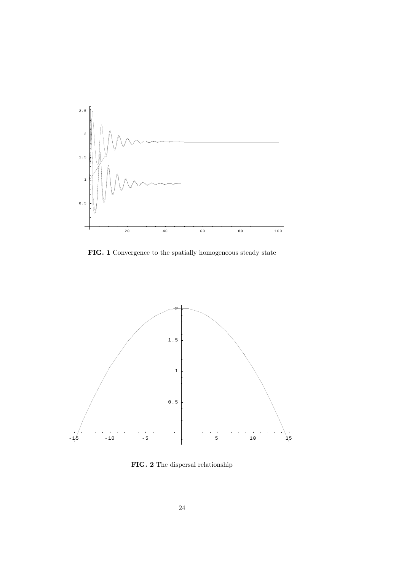

FIG. 1 Convergence to the spatially homogeneous steady state



FIG. 2 The dispersal relationship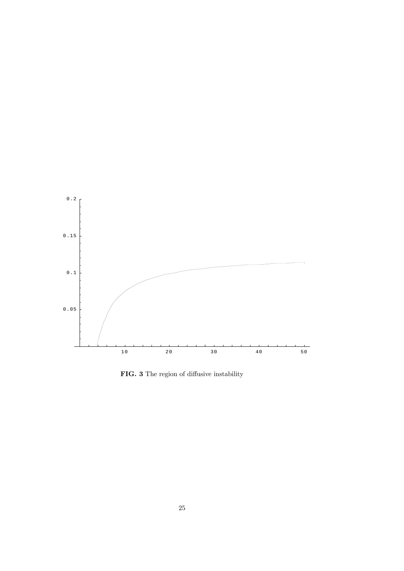

FIG. 3 The region of diffusive instability